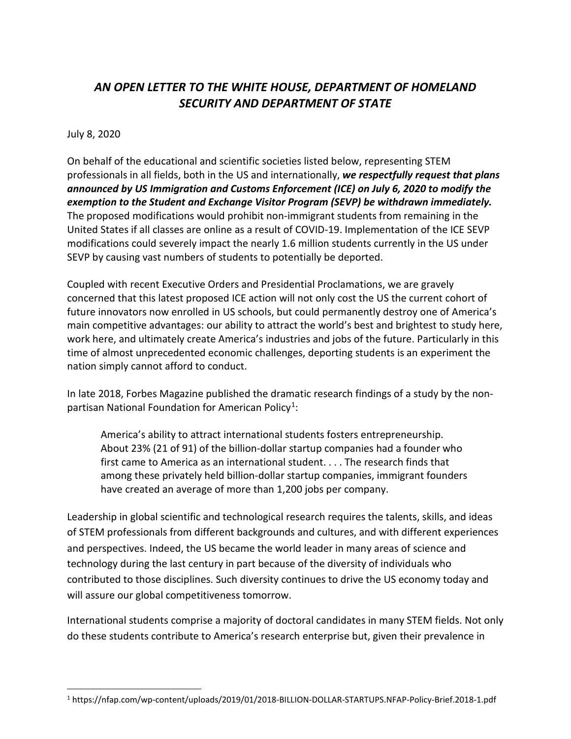## *AN OPEN LETTER TO THE WHITE HOUSE, DEPARTMENT OF HOMELAND SECURITY AND DEPARTMENT OF STATE*

## July 8, 2020

On behalf of the educational and scientific societies listed below, representing STEM professionals in all fields, both in the US and internationally, *we respectfully request that plans announced by US Immigration and Customs Enforcement (ICE) on July 6, 2020 to modify the exemption to the Student and Exchange Visitor Program (SEVP) be withdrawn immediately.*  The proposed modifications would prohibit non-immigrant students from remaining in the United States if all classes are online as a result of COVID-19. Implementation of the ICE SEVP modifications could severely impact the nearly 1.6 million students currently in the US under SEVP by causing vast numbers of students to potentially be deported.

Coupled with recent Executive Orders and Presidential Proclamations, we are gravely concerned that this latest proposed ICE action will not only cost the US the current cohort of future innovators now enrolled in US schools, but could permanently destroy one of America's main competitive advantages: our ability to attract the world's best and brightest to study here, work here, and ultimately create America's industries and jobs of the future. Particularly in this time of almost unprecedented economic challenges, deporting students is an experiment the nation simply cannot afford to conduct.

In late 2018, Forbes Magazine published the dramatic research findings of a study by the nonpartisan National Foundation for American Policy<sup>1</sup>:

America's ability to attract international students fosters entrepreneurship. About 23% (21 of 91) of the billion-dollar startup companies had a founder who first came to America as an international student. . . . The research finds that among these privately held billion-dollar startup companies, immigrant founders have created an average of more than 1,200 jobs per company.

Leadership in global scientific and technological research requires the talents, skills, and ideas of STEM professionals from different backgrounds and cultures, and with different experiences and perspectives. Indeed, the US became the world leader in many areas of science and technology during the last century in part because of the diversity of individuals who contributed to those disciplines. Such diversity continues to drive the US economy today and will assure our global competitiveness tomorrow.

International students comprise a majority of doctoral candidates in many STEM fields. Not only do these students contribute to America's research enterprise but, given their prevalence in

<span id="page-0-0"></span> <sup>1</sup> https://nfap.com/wp-content/uploads/2019/01/2018-BILLION-DOLLAR-STARTUPS.NFAP-Policy-Brief.2018-1.pdf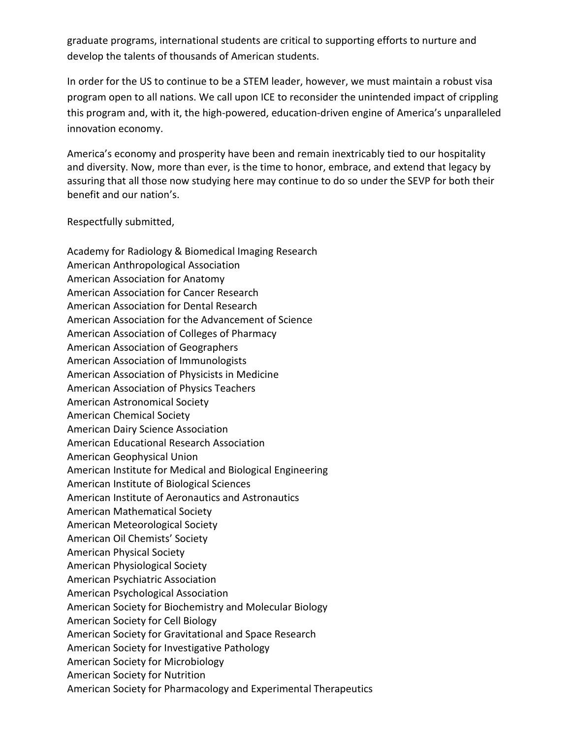graduate programs, international students are critical to supporting efforts to nurture and develop the talents of thousands of American students.

In order for the US to continue to be a STEM leader, however, we must maintain a robust visa program open to all nations. We call upon ICE to reconsider the unintended impact of crippling this program and, with it, the high-powered, education-driven engine of America's unparalleled innovation economy.

America's economy and prosperity have been and remain inextricably tied to our hospitality and diversity. Now, more than ever, is the time to honor, embrace, and extend that legacy by assuring that all those now studying here may continue to do so under the SEVP for both their benefit and our nation's.

Respectfully submitted,

Academy for Radiology & Biomedical Imaging Research American Anthropological Association American Association for Anatomy American Association for Cancer Research American Association for Dental Research American Association for the Advancement of Science American Association of Colleges of Pharmacy American Association of Geographers American Association of Immunologists American Association of Physicists in Medicine American Association of Physics Teachers American Astronomical Society American Chemical Society American Dairy Science Association American Educational Research Association American Geophysical Union American Institute for Medical and Biological Engineering American Institute of Biological Sciences American Institute of Aeronautics and Astronautics American Mathematical Society American Meteorological Society American Oil Chemists' Society American Physical Society American Physiological Society American Psychiatric Association American Psychological Association American Society for Biochemistry and Molecular Biology American Society for Cell Biology American Society for Gravitational and Space Research American Society for Investigative Pathology American Society for Microbiology American Society for Nutrition American Society for Pharmacology and Experimental Therapeutics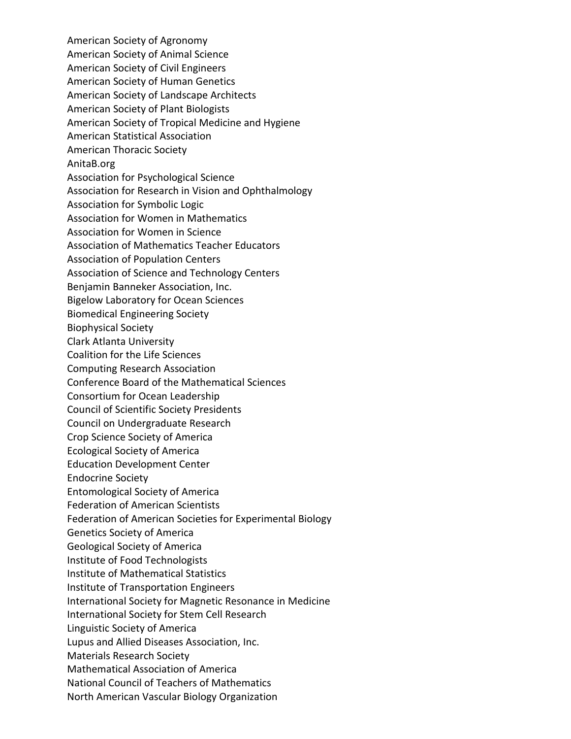American Society of Agronomy American Society of Animal Science American Society of Civil Engineers American Society of Human Genetics American Society of Landscape Architects American Society of Plant Biologists American Society of Tropical Medicine and Hygiene American Statistical Association American Thoracic Society AnitaB.org Association for Psychological Science Association for Research in Vision and Ophthalmology Association for Symbolic Logic Association for Women in Mathematics Association for Women in Science Association of Mathematics Teacher Educators Association of Population Centers Association of Science and Technology Centers Benjamin Banneker Association, Inc. Bigelow Laboratory for Ocean Sciences Biomedical Engineering Society Biophysical Society Clark Atlanta University Coalition for the Life Sciences Computing Research Association Conference Board of the Mathematical Sciences Consortium for Ocean Leadership Council of Scientific Society Presidents Council on Undergraduate Research Crop Science Society of America Ecological Society of America Education Development Center Endocrine Society Entomological Society of America Federation of American Scientists Federation of American Societies for Experimental Biology Genetics Society of America Geological Society of America Institute of Food Technologists Institute of Mathematical Statistics Institute of Transportation Engineers International Society for Magnetic Resonance in Medicine International Society for Stem Cell Research Linguistic Society of America Lupus and Allied Diseases Association, Inc. Materials Research Society Mathematical Association of America National Council of Teachers of Mathematics North American Vascular Biology Organization